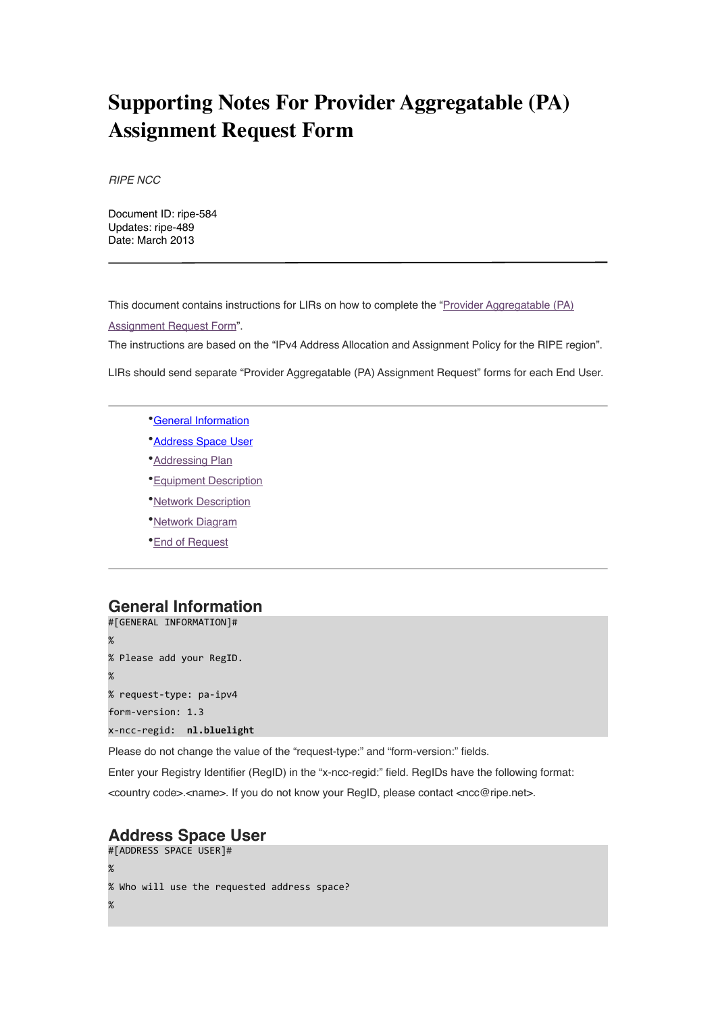# **Supporting Notes For Provider Aggregatable (PA) Assignment Request Form**

*RIPE NCC*

Document ID: ripe-584 Updates: ripe-489 Date: March 2013

This document contains instructions for LIRs on how to complete the ["Provider Aggregatable \(PA\)](http://www.ripe.net/ripe/docs/iprequestform)  [Assignment Request Form"](http://www.ripe.net/ripe/docs/iprequestform).

The instructions are based on the "IPv4 Address Allocation and Assignment Policy for the RIPE region".

LIRs should send separate "Provider Aggregatable (PA) Assignment Request" forms for each End User.

- •[General Information](#page-0-0)
- •[Address Space User](#page-0-1)
- •[Addressing Plan](#page-1-0)
- •[Equipment Description](#page-2-0)
- •[Network Description](#page-3-0)
- •[Network Diagram](#page-3-1)
- •[End of Request](#page-3-2)

# <span id="page-0-0"></span>**General Information**

```
#[GENERAL	INFORMATION]#
\%%	Please	add	your	RegID.
%
%	request-type:	pa-ipv4
form-version: 1.3
x-ncc-regid:		nl.bluelight
```
Please do not change the value of the "request-type:" and "form-version:" fields.

Enter your Registry Identifier (RegID) in the "x-ncc-regid:" field. RegIDs have the following format:

<country code>.<name>. If you do not know your RegID, please contact <ncc@ripe.net>.

# <span id="page-0-1"></span>**Address Space User**

```
#[ADDRESS	SPACE	USER]#
%
% Who will use the requested address space?
\%
```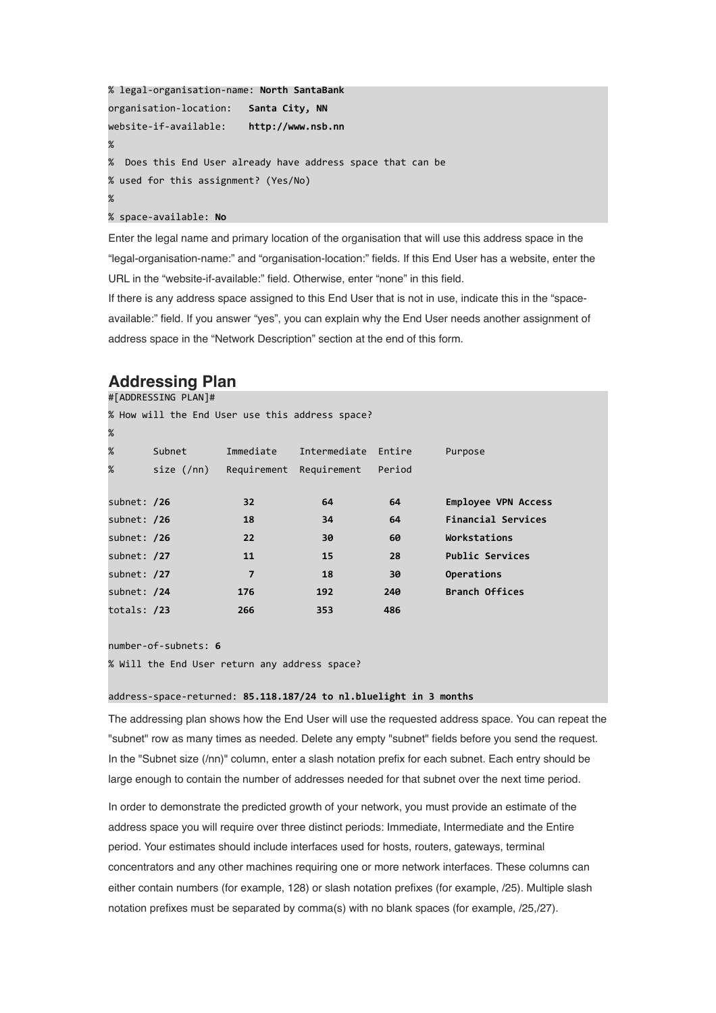```
%	legal-organisation-name:	North	SantaBank
organisation-location:			Santa	City,	NN
website-if-available:				http://www.nsb.nn
\%%		Does	this	End	User	already	have	address	space	that	can	be
% used for this assignment? (Yes/No)
\%%	space-available:	No
```
Enter the legal name and primary location of the organisation that will use this address space in the "legal-organisation-name:" and "organisation-location:" fields. If this End User has a website, enter the URL in the "website-if-available:" field. Otherwise, enter "none" in this field.

If there is any address space assigned to this End User that is not in use, indicate this in the "spaceavailable:" field. If you answer "yes", you can explain why the End User needs another assignment of address space in the "Network Description" section at the end of this form.

# <span id="page-1-0"></span>**Addressing Plan** #[ADDRESSING PLAN]# % How will the End User use this address space?

| %           |              |             |              |        |                           |
|-------------|--------------|-------------|--------------|--------|---------------------------|
| %           | Subnet       | Immediate   | Intermediate | Entire | Purpose                   |
| %           | size $(7nn)$ | Requirement | Requirement  | Period |                           |
|             |              |             |              |        |                           |
| subnet: /26 |              | 32          | 64           | 64     | Employee VPN Access       |
| subnet: /26 |              | 18          | 34           | 64     | <b>Financial Services</b> |
| subnet: /26 |              | 22          | 30           | 60     | Workstations              |
| subnet: /27 |              | 11          | 15           | 28     | <b>Public Services</b>    |
| subnet: /27 |              | 7           | 18           | 30     | Operations                |
| subnet: /24 |              | 176         | 192          | 240    | <b>Branch Offices</b>     |
| totals: /23 |              | 266         | 353          | 486    |                           |

number-of-subnets: **6**

% Will the End User return any address space?

#### address-space-returned: 85.118.187/24 to nl.bluelight in 3 months

The addressing plan shows how the End User will use the requested address space. You can repeat the "subnet" row as many times as needed. Delete any empty "subnet" fields before you send the request. In the "Subnet size (/nn)" column, enter a slash notation prefix for each subnet. Each entry should be large enough to contain the number of addresses needed for that subnet over the next time period.

In order to demonstrate the predicted growth of your network, you must provide an estimate of the address space you will require over three distinct periods: Immediate, Intermediate and the Entire period. Your estimates should include interfaces used for hosts, routers, gateways, terminal concentrators and any other machines requiring one or more network interfaces. These columns can either contain numbers (for example, 128) or slash notation prefixes (for example, /25). Multiple slash notation prefixes must be separated by comma(s) with no blank spaces (for example, /25,/27).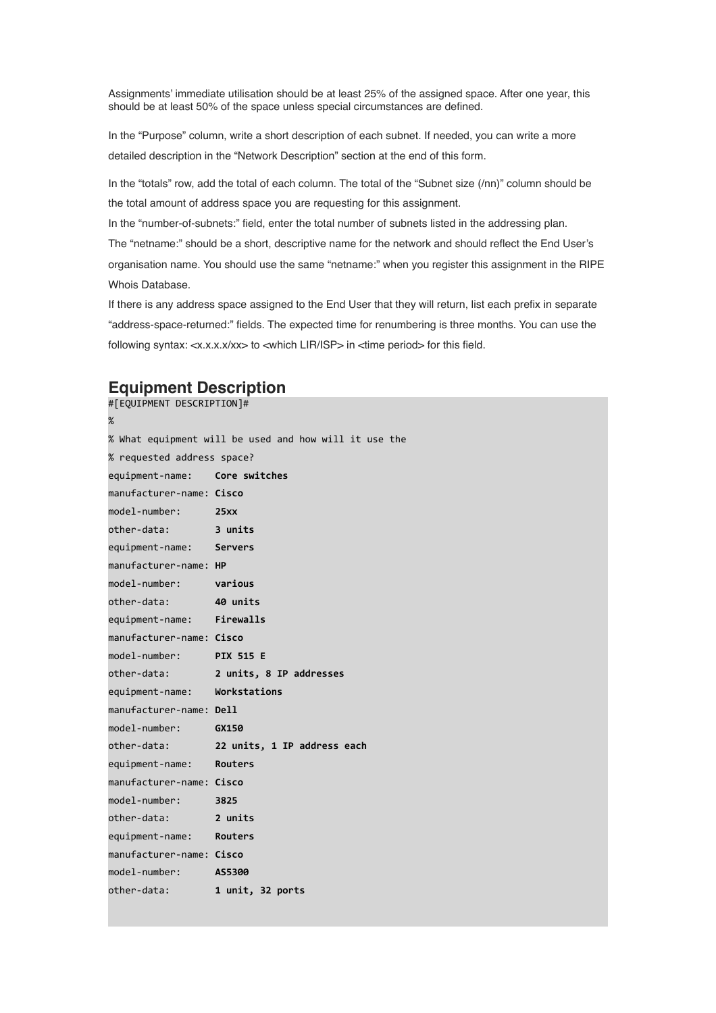Assignments' immediate utilisation should be at least 25% of the assigned space. After one year, this should be at least 50% of the space unless special circumstances are defined.

In the "Purpose" column, write a short description of each subnet. If needed, you can write a more detailed description in the "Network Description" section at the end of this form.

In the "totals" row, add the total of each column. The total of the "Subnet size (/nn)" column should be the total amount of address space you are requesting for this assignment.

In the "number-of-subnets:" field, enter the total number of subnets listed in the addressing plan.

The "netname:" should be a short, descriptive name for the network and should reflect the End User's organisation name. You should use the same "netname:" when you register this assignment in the RIPE Whois Database.

If there is any address space assigned to the End User that they will return, list each prefix in separate "address-space-returned:" fields. The expected time for renumbering is three months. You can use the following syntax: <x.x.x.x/xx> to <which LIR/ISP> in <time period> for this field.

### <span id="page-2-0"></span>**Equipment Description**

#[EQUIPMENT DESCRIPTION]# % % What equipment will be used and how will it use the % requested address space? equipment-name: **Core switches** manufacturer-name: **Cisco** model-number: 25xx other-data: **3 units** equipment-name: **Servers** manufacturer-name: **HP** model-number: **various** other-data: **40 units** equipment-name: **Firewalls** manufacturer-name: **Cisco** model-number: **PIX 515 E** other-data: **2 units, 8 IP addresses** equipment-name: **Workstations** manufacturer-name: **Dell** model-number: **GX150** other-data: **22 units, 1 IP address each** equipment-name: **Routers** manufacturer-name: **Cisco** model-number: 3825 other-data: **2 units** equipment-name: **Routers** manufacturer-name: **Cisco** model-number: **AS5300** other-data: **1 unit, 32 ports**